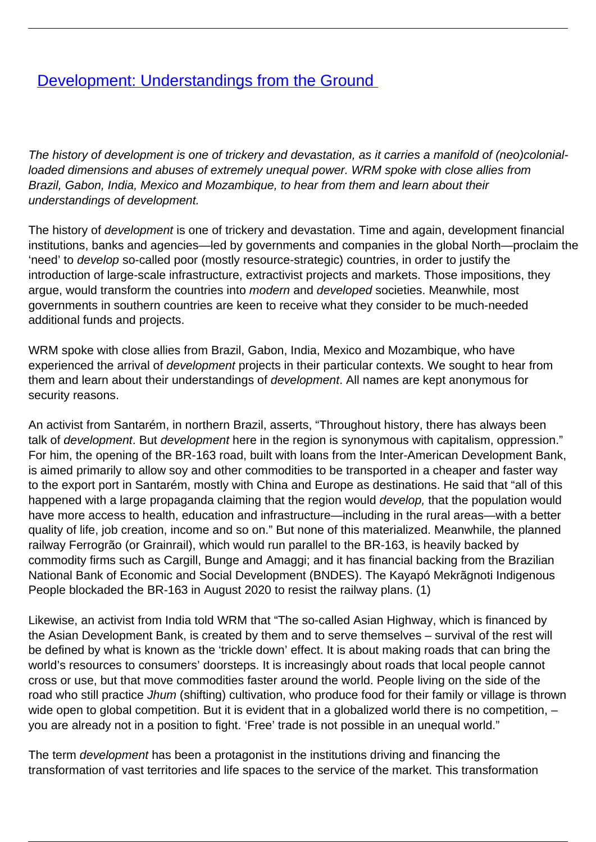## **[Development: Understandings from the Ground](/bulletin-articles/development-understandings-from-the-ground)**

The history of development is one of trickery and devastation, as it carries a manifold of (neo)colonialloaded dimensions and abuses of extremely unequal power. WRM spoke with close allies from Brazil, Gabon, India, Mexico and Mozambique, to hear from them and learn about their understandings of development.

The history of development is one of trickery and devastation. Time and again, development financial institutions, banks and agencies—led by governments and companies in the global North—proclaim the 'need' to develop so-called poor (mostly resource-strategic) countries, in order to justify the introduction of large-scale infrastructure, extractivist projects and markets. Those impositions, they argue, would transform the countries into modern and developed societies. Meanwhile, most governments in southern countries are keen to receive what they consider to be much-needed additional funds and projects.

WRM spoke with close allies from Brazil, Gabon, India, Mexico and Mozambique, who have experienced the arrival of development projects in their particular contexts. We sought to hear from them and learn about their understandings of development. All names are kept anonymous for security reasons.

An activist from Santarém, in northern Brazil, asserts, "Throughout history, there has always been talk of development. But development here in the region is synonymous with capitalism, oppression." For him, the opening of the BR-163 road, built with loans from the Inter-American Development Bank, is aimed primarily to allow soy and other commodities to be transported in a cheaper and faster way to the export port in Santarém, mostly with China and Europe as destinations. He said that "all of this happened with a large propaganda claiming that the region would *develop*, that the population would have more access to health, education and infrastructure—including in the rural areas—with a better quality of life, job creation, income and so on." But none of this materialized. Meanwhile, the planned railway Ferrogrão (or Grainrail), which would run parallel to the BR-163, is heavily backed by commodity firms such as Cargill, Bunge and Amaggi; and it has financial backing from the Brazilian National Bank of Economic and Social Development (BNDES). The Kayapó Mekrãgnoti Indigenous People blockaded the BR-163 in August 2020 to resist the railway plans. (1)

Likewise, an activist from India told WRM that "The so-called Asian Highway, which is financed by the Asian Development Bank, is created by them and to serve themselves – survival of the rest will be defined by what is known as the 'trickle down' effect. It is about making roads that can bring the world's resources to consumers' doorsteps. It is increasingly about roads that local people cannot cross or use, but that move commodities faster around the world. People living on the side of the road who still practice Jhum (shifting) cultivation, who produce food for their family or village is thrown wide open to global competition. But it is evident that in a globalized world there is no competition, you are already not in a position to fight. 'Free' trade is not possible in an unequal world."

The term development has been a protagonist in the institutions driving and financing the transformation of vast territories and life spaces to the service of the market. This transformation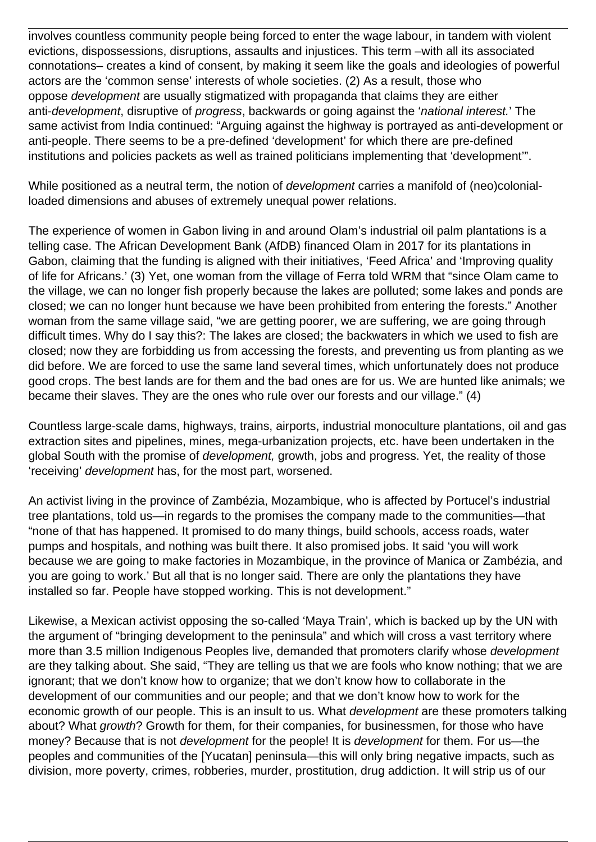involves countless community people being forced to enter the wage labour, in tandem with violent evictions, dispossessions, disruptions, assaults and injustices. This term –with all its associated connotations– creates a kind of consent, by making it seem like the goals and ideologies of powerful actors are the 'common sense' interests of whole societies. (2) As a result, those who oppose development are usually stigmatized with propaganda that claims they are either anti-development, disruptive of progress, backwards or going against the 'national interest.' The same activist from India continued: "Arguing against the highway is portrayed as anti-development or anti-people. There seems to be a pre-defined 'development' for which there are pre-defined institutions and policies packets as well as trained politicians implementing that 'development'".

While positioned as a neutral term, the notion of *development* carries a manifold of (neo)colonialloaded dimensions and abuses of extremely unequal power relations.

The experience of women in Gabon living in and around Olam's industrial oil palm plantations is a telling case. The African Development Bank (AfDB) financed Olam in 2017 for its plantations in Gabon, claiming that the funding is aligned with their initiatives, 'Feed Africa' and 'Improving quality of life for Africans.' (3) Yet, one woman from the village of Ferra told WRM that "since Olam came to the village, we can no longer fish properly because the lakes are polluted; some lakes and ponds are closed; we can no longer hunt because we have been prohibited from entering the forests." Another woman from the same village said, "we are getting poorer, we are suffering, we are going through difficult times. Why do I say this?: The lakes are closed; the backwaters in which we used to fish are closed; now they are forbidding us from accessing the forests, and preventing us from planting as we did before. We are forced to use the same land several times, which unfortunately does not produce good crops. The best lands are for them and the bad ones are for us. We are hunted like animals; we became their slaves. They are the ones who rule over our forests and our village." (4)

Countless large-scale dams, highways, trains, airports, industrial monoculture plantations, oil and gas extraction sites and pipelines, mines, mega-urbanization projects, etc. have been undertaken in the global South with the promise of development, growth, jobs and progress. Yet, the reality of those 'receiving' development has, for the most part, worsened.

An activist living in the province of Zambézia, Mozambique, who is affected by Portucel's industrial tree plantations, told us—in regards to the promises the company made to the communities—that "none of that has happened. It promised to do many things, build schools, access roads, water pumps and hospitals, and nothing was built there. It also promised jobs. It said 'you will work because we are going to make factories in Mozambique, in the province of Manica or Zambézia, and you are going to work.' But all that is no longer said. There are only the plantations they have installed so far. People have stopped working. This is not development."

Likewise, a Mexican activist opposing the so-called 'Maya Train', which is backed up by the UN with the argument of "bringing development to the peninsula" and which will cross a vast territory where more than 3.5 million Indigenous Peoples live, demanded that promoters clarify whose development are they talking about. She said, "They are telling us that we are fools who know nothing; that we are ignorant; that we don't know how to organize; that we don't know how to collaborate in the development of our communities and our people; and that we don't know how to work for the economic growth of our people. This is an insult to us. What *development* are these promoters talking about? What growth? Growth for them, for their companies, for businessmen, for those who have money? Because that is not *development* for the people! It is *development* for them. For us—the peoples and communities of the [Yucatan] peninsula—this will only bring negative impacts, such as division, more poverty, crimes, robberies, murder, prostitution, drug addiction. It will strip us of our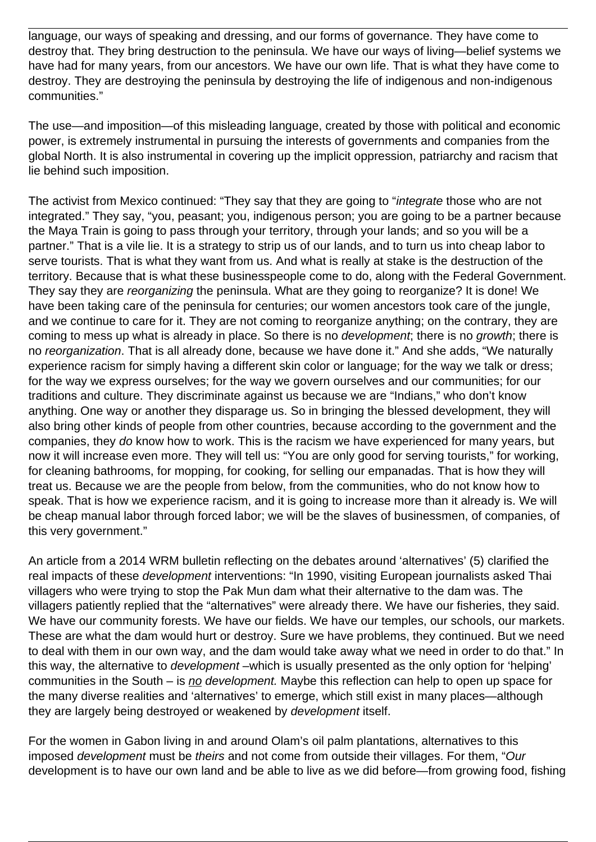language, our ways of speaking and dressing, and our forms of governance. They have come to destroy that. They bring destruction to the peninsula. We have our ways of living—belief systems we have had for many years, from our ancestors. We have our own life. That is what they have come to destroy. They are destroying the peninsula by destroying the life of indigenous and non-indigenous communities."

The use—and imposition—of this misleading language, created by those with political and economic power, is extremely instrumental in pursuing the interests of governments and companies from the global North. It is also instrumental in covering up the implicit oppression, patriarchy and racism that lie behind such imposition.

The activist from Mexico continued: "They say that they are going to "*integrate* those who are not integrated." They say, "you, peasant; you, indigenous person; you are going to be a partner because the Maya Train is going to pass through your territory, through your lands; and so you will be a partner." That is a vile lie. It is a strategy to strip us of our lands, and to turn us into cheap labor to serve tourists. That is what they want from us. And what is really at stake is the destruction of the territory. Because that is what these businesspeople come to do, along with the Federal Government. They say they are reorganizing the peninsula. What are they going to reorganize? It is done! We have been taking care of the peninsula for centuries; our women ancestors took care of the jungle, and we continue to care for it. They are not coming to reorganize anything; on the contrary, they are coming to mess up what is already in place. So there is no *development*; there is no *growth*; there is no reorganization. That is all already done, because we have done it." And she adds, "We naturally experience racism for simply having a different skin color or language; for the way we talk or dress; for the way we express ourselves; for the way we govern ourselves and our communities; for our traditions and culture. They discriminate against us because we are "Indians," who don't know anything. One way or another they disparage us. So in bringing the blessed development, they will also bring other kinds of people from other countries, because according to the government and the companies, they do know how to work. This is the racism we have experienced for many years, but now it will increase even more. They will tell us: "You are only good for serving tourists," for working, for cleaning bathrooms, for mopping, for cooking, for selling our empanadas. That is how they will treat us. Because we are the people from below, from the communities, who do not know how to speak. That is how we experience racism, and it is going to increase more than it already is. We will be cheap manual labor through forced labor; we will be the slaves of businessmen, of companies, of this very government."

An article from a 2014 WRM bulletin reflecting on the debates around 'alternatives' (5) clarified the real impacts of these *development* interventions: "In 1990, visiting European journalists asked Thai villagers who were trying to stop the Pak Mun dam what their alternative to the dam was. The villagers patiently replied that the "alternatives" were already there. We have our fisheries, they said. We have our community forests. We have our fields. We have our temples, our schools, our markets. These are what the dam would hurt or destroy. Sure we have problems, they continued. But we need to deal with them in our own way, and the dam would take away what we need in order to do that." In this way, the alternative to *development* –which is usually presented as the only option for 'helping' communities in the South – is no development. Maybe this reflection can help to open up space for the many diverse realities and 'alternatives' to emerge, which still exist in many places—although they are largely being destroyed or weakened by development itself.

For the women in Gabon living in and around Olam's oil palm plantations, alternatives to this imposed development must be theirs and not come from outside their villages. For them, "Our development is to have our own land and be able to live as we did before—from growing food, fishing